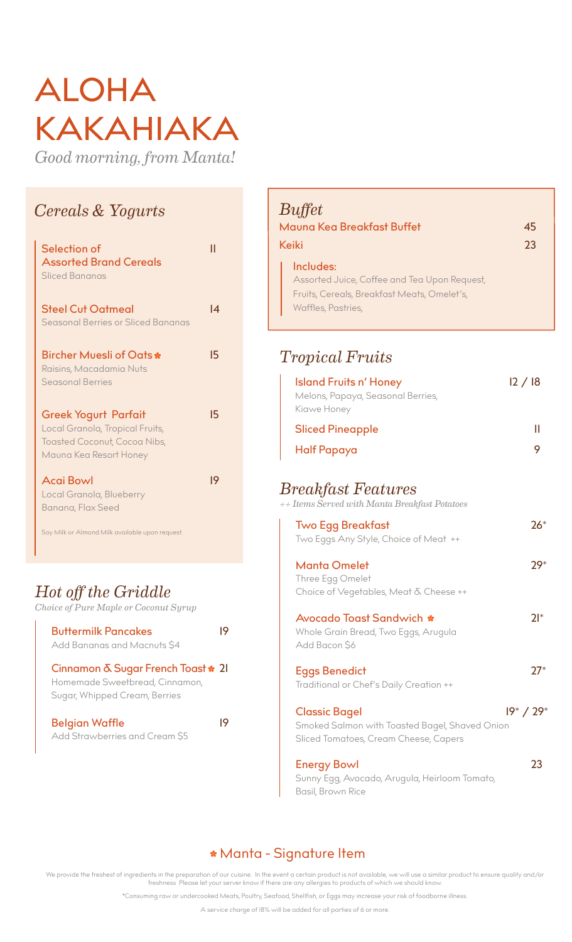# ALOHA KAKAHIAKA

*Good morning, from Manta!*

#### *Cereals & Yogurts*

| Selection of<br><b>Assorted Brand Cereals</b><br>Sliced Bananas                                                          |    |
|--------------------------------------------------------------------------------------------------------------------------|----|
| <b>Steel Cut Oatmeal</b><br>Seasonal Berries or Sliced Bananas                                                           | I4 |
| <b>Bircher Muesli of Oats *</b><br>Raisins, Macadamia Nuts<br>Seasonal Berries                                           | 15 |
| Greek Yogurt Parfait<br>Local Granola, Tropical Fruits,<br><b>Toasted Coconut, Cocoa Nibs,</b><br>Mauna Kea Resort Honey | 15 |
| <b>Acai Bowl</b><br>Local Granola, Blueberry<br>Banana, Flax Seed                                                        | 19 |

Soy Milk or Almond Milk available upon request.

#### *Hot off the Griddle*

*Choice of Pure Maple or Coconut Syrup*

| <b>Buttermilk Pancakes</b><br>Add Bananas and Macnuts \$4                                             |  |
|-------------------------------------------------------------------------------------------------------|--|
| Cinnamon & Sugar French Toast * 21<br>Homemade Sweetbread, Cinnamon,<br>Sugar, Whipped Cream, Berries |  |
| <b>Belgian Waffle</b><br>Add Strawberries and Cream \$5                                               |  |

| Buffet<br>Mauna Kea Breakfast Buffet<br>Keiki                                                                                  | 45<br>23 |
|--------------------------------------------------------------------------------------------------------------------------------|----------|
| Includes:<br>Assorted Juice, Coffee and Tea Upon Request,<br>Fruits, Cereals, Breakfast Meats, Omelet's,<br>Waffles, Pastries, |          |

#### *Tropical Fruits*

| <b>Island Fruits n' Honey</b>     | 12 / 18 |
|-----------------------------------|---------|
| Melons, Papaya, Seasonal Berries, |         |
| Kiawe Honey                       |         |
| <b>Sliced Pineapple</b>           |         |
| <b>Half Papaya</b>                |         |
|                                   |         |

#### *Breakfast Features*

*++ Items Served with Manta Breakfast Potatoes*

| <b>Two Egg Breakfast</b><br>Two Eggs Any Style, Choice of Meat ++                                               | $26*$         |
|-----------------------------------------------------------------------------------------------------------------|---------------|
| <b>Manta Omelet</b><br>Three Egg Omelet<br>Choice of Vegetables, Meat & Cheese ++                               | 79*           |
| Avocado Toast Sandwich *<br>Whole Grain Bread, Two Eggs, Arugula<br>Add Bacon \$6                               | 71*           |
| <b>Eggs Benedict</b><br>Traditional or Chef's Daily Creation ++                                                 | <b>フフ</b> *   |
| <b>Classic Bagel</b><br>Smoked Salmon with Toasted Bagel, Shaved Onion<br>Sliced Tomatoes, Cream Cheese, Capers | $19^* / 29^*$ |
| <b>Energy Bowl</b><br>Sunny Egg, Avocado, Arugula, Heirloom Tomato,<br>Basil, Brown Rice                        | 23            |

#### Manta - Signature Item

We provide the freshest of ingredients in the preparation of our cuisine. In the event a certain product is not available, we will use a similar product to ensure quality and/or freshness Please let your server know if there are any allergies to products of which we should know.

\*Consuming raw or undercooked Meats, Poultry, Seafood, Shellfish, or Eggs may increase your risk of foodborne illness.